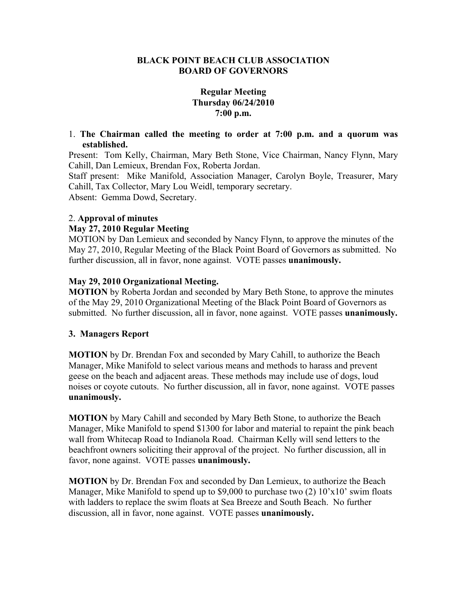#### **BLACK POINT BEACH CLUB ASSOCIATION BOARD OF GOVERNORS**

# **Regular Meeting Thursday 06/24/2010 7:00 p.m.**

1. **The Chairman called the meeting to order at 7:00 p.m. and a quorum was established.** 

Present: Tom Kelly, Chairman, Mary Beth Stone, Vice Chairman, Nancy Flynn, Mary Cahill, Dan Lemieux, Brendan Fox, Roberta Jordan.

Staff present: Mike Manifold, Association Manager, Carolyn Boyle, Treasurer, Mary Cahill, Tax Collector, Mary Lou Weidl, temporary secretary.

Absent: Gemma Dowd, Secretary.

## 2. **Approval of minutes**

#### **May 27, 2010 Regular Meeting**

MOTION by Dan Lemieux and seconded by Nancy Flynn, to approve the minutes of the May 27, 2010, Regular Meeting of the Black Point Board of Governors as submitted. No further discussion, all in favor, none against. VOTE passes **unanimously.** 

## **May 29, 2010 Organizational Meeting.**

**MOTION** by Roberta Jordan and seconded by Mary Beth Stone, to approve the minutes of the May 29, 2010 Organizational Meeting of the Black Point Board of Governors as submitted. No further discussion, all in favor, none against. VOTE passes **unanimously.** 

#### **3. Managers Report**

**MOTION** by Dr. Brendan Fox and seconded by Mary Cahill, to authorize the Beach Manager, Mike Manifold to select various means and methods to harass and prevent geese on the beach and adjacent areas. These methods may include use of dogs, loud noises or coyote cutouts. No further discussion, all in favor, none against. VOTE passes **unanimously.** 

**MOTION** by Mary Cahill and seconded by Mary Beth Stone, to authorize the Beach Manager, Mike Manifold to spend \$1300 for labor and material to repaint the pink beach wall from Whitecap Road to Indianola Road. Chairman Kelly will send letters to the beachfront owners soliciting their approval of the project. No further discussion, all in favor, none against. VOTE passes **unanimously.** 

**MOTION** by Dr. Brendan Fox and seconded by Dan Lemieux, to authorize the Beach Manager, Mike Manifold to spend up to \$9,000 to purchase two (2) 10'x10' swim floats with ladders to replace the swim floats at Sea Breeze and South Beach. No further discussion, all in favor, none against. VOTE passes **unanimously.**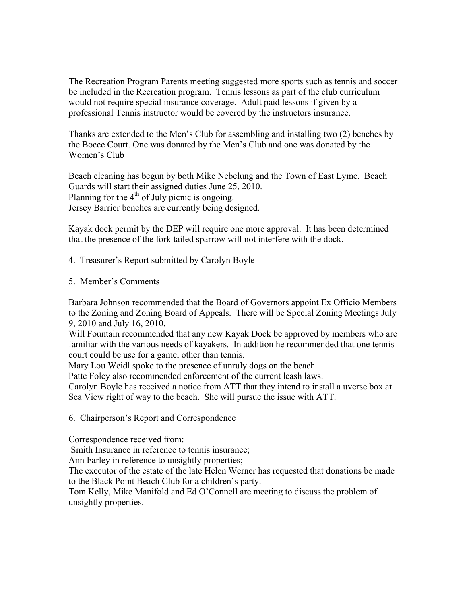The Recreation Program Parents meeting suggested more sports such as tennis and soccer be included in the Recreation program. Tennis lessons as part of the club curriculum would not require special insurance coverage. Adult paid lessons if given by a professional Tennis instructor would be covered by the instructors insurance.

Thanks are extended to the Men's Club for assembling and installing two (2) benches by the Bocce Court. One was donated by the Men's Club and one was donated by the Women's Club

Beach cleaning has begun by both Mike Nebelung and the Town of East Lyme. Beach Guards will start their assigned duties June 25, 2010. Planning for the  $4<sup>th</sup>$  of July picnic is ongoing. Jersey Barrier benches are currently being designed.

Kayak dock permit by the DEP will require one more approval. It has been determined that the presence of the fork tailed sparrow will not interfere with the dock.

4. Treasurer's Report submitted by Carolyn Boyle

5. Member's Comments

Barbara Johnson recommended that the Board of Governors appoint Ex Officio Members to the Zoning and Zoning Board of Appeals. There will be Special Zoning Meetings July 9, 2010 and July 16, 2010.

Will Fountain recommended that any new Kayak Dock be approved by members who are familiar with the various needs of kayakers. In addition he recommended that one tennis court could be use for a game, other than tennis.

Mary Lou Weidl spoke to the presence of unruly dogs on the beach.

Patte Foley also recommended enforcement of the current leash laws.

Carolyn Boyle has received a notice from ATT that they intend to install a uverse box at Sea View right of way to the beach. She will pursue the issue with ATT.

6. Chairperson's Report and Correspondence

Correspondence received from:

Smith Insurance in reference to tennis insurance;

Ann Farley in reference to unsightly properties;

The executor of the estate of the late Helen Werner has requested that donations be made to the Black Point Beach Club for a children's party.

Tom Kelly, Mike Manifold and Ed O'Connell are meeting to discuss the problem of unsightly properties.